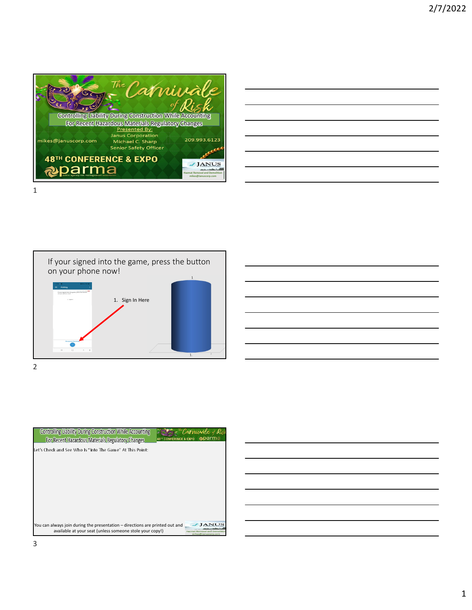

|  | <u> 1989 - Johann Stoff, amerikansk politiker (d. 1989)</u>                                                            |  |
|--|------------------------------------------------------------------------------------------------------------------------|--|
|  | <u> 1989 - Jan Samuel Barbara, margaret e a seu a componente de la componentación de la componentación de la compo</u> |  |
|  | <u> 1989 - Jan Samuel Barbara, margaret eta biztanleria (h. 1989).</u>                                                 |  |
|  | <u> 1989 - Andrea Andrew Maria (h. 1989).</u>                                                                          |  |
|  |                                                                                                                        |  |
|  | <u> 1989 - Johann Harry Harry Harry Harry Harry Harry Harry Harry Harry Harry Harry Harry Harry Harry Harry Harry</u>  |  |

If your signed into the game, press the button on your phone now! 1. Sign In Here  $\overline{1}$ . 2



| <b>Controlling Liability During Construction While Accounting</b><br>For Recent Hazardous Materials Regulatory Changes                   | arma<br>48TH CONFERENCE & EXPO |
|------------------------------------------------------------------------------------------------------------------------------------------|--------------------------------|
| Let's Check and See Who Is "Into The Game" At This Point:                                                                                |                                |
|                                                                                                                                          |                                |
|                                                                                                                                          |                                |
|                                                                                                                                          |                                |
|                                                                                                                                          |                                |
| You can always join during the presentation – directions are printed out and<br>available at your seat (unless someone stole your copy!) | mikes@Januscorp.com            |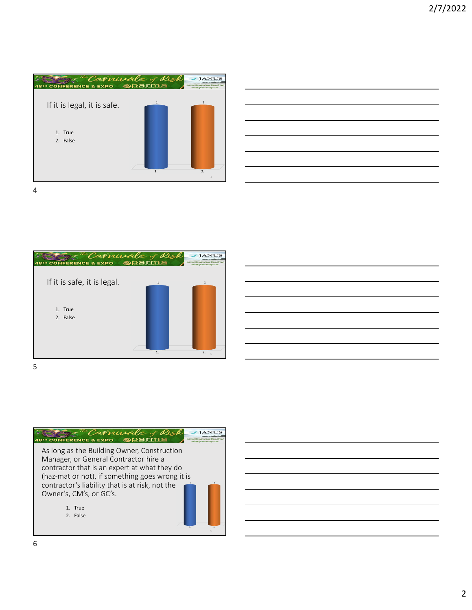

| <u> 1989 - Johann Stoff, amerikansk politiker (d. 1989)</u> |  |  |
|-------------------------------------------------------------|--|--|
|                                                             |  |  |
|                                                             |  |  |
|                                                             |  |  |
|                                                             |  |  |



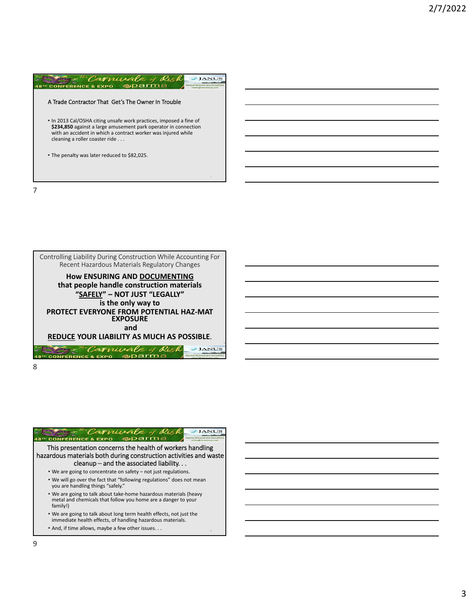





| camusale<br><b>EXPO</b><br>FERENCE                                                                                                                                       |
|--------------------------------------------------------------------------------------------------------------------------------------------------------------------------|
| This presentation concerns the health of workers handling<br>hazardous materials both during construction activities and waste<br>cleanup – and the associated liability |
| • We are going to concentrate on safety – not just regulations.                                                                                                          |
| • We will go over the fact that "following regulations" does not mean<br>you are handling things "safely."                                                               |
| • We are going to talk about take-home hazardous materials (heavy<br>metal and chemicals that follow you home are a danger to your<br>family!)                           |
| . We are going to talk about long term health effects, not just the<br>immediate health effects, of handling hazardous materials.                                        |
| • And, if time allows, maybe a few other issues                                                                                                                          |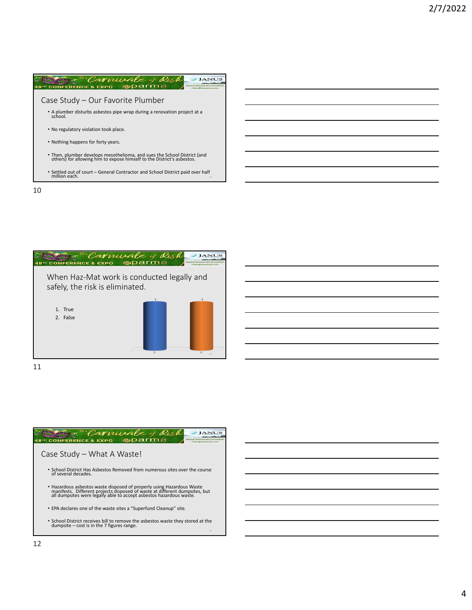



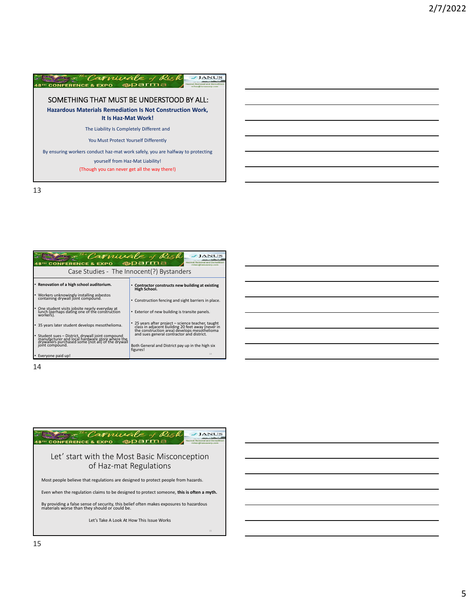

| <sup>The</sup> Carvivale of Risk<br><b>CONFERENCE &amp; EXPO</b><br>mikes@Januscorp.com                                                                    |                                                                                                                                                       |  |  |  |  |  |
|------------------------------------------------------------------------------------------------------------------------------------------------------------|-------------------------------------------------------------------------------------------------------------------------------------------------------|--|--|--|--|--|
| Case Studies - The Innocent(?) Bystanders                                                                                                                  |                                                                                                                                                       |  |  |  |  |  |
| • Renovation of a high school auditorium.                                                                                                                  | Contractor constructs new building at existing<br>High School.                                                                                        |  |  |  |  |  |
| • Workers unknowingly installing asbestos<br>containing drywall joint compound.                                                                            | • Construction fencing and sight barriers in place.                                                                                                   |  |  |  |  |  |
| • One student visits jobsite nearly everyday at<br>lunch (perhaps dating one of the construction<br>workers).                                              | • Exterior of new building is transite panels.                                                                                                        |  |  |  |  |  |
| • 35 years later student develops mesothelioma.                                                                                                            | 25 years after project - science teacher, taught<br>class in adjacent building 20 feet away (never in<br>the construction area) develops mesothelioma |  |  |  |  |  |
| • Student sues – District, drywall joint compound<br>manufacturer and local hardware store where the<br>drywallers purchased some (not all) of the drywall | and sues general contractor and district.                                                                                                             |  |  |  |  |  |
| joint compound.                                                                                                                                            | Both General and District pay up in the high six<br>figures!<br>14                                                                                    |  |  |  |  |  |
| • Everyone paid up!                                                                                                                                        |                                                                                                                                                       |  |  |  |  |  |

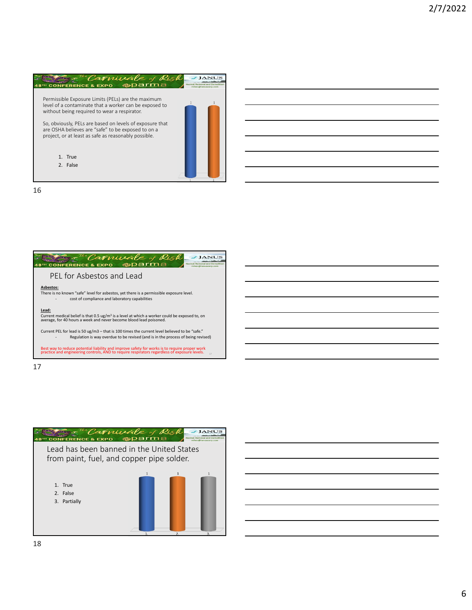



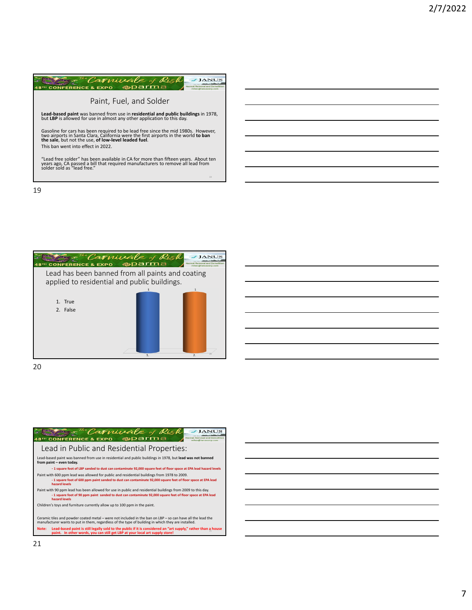



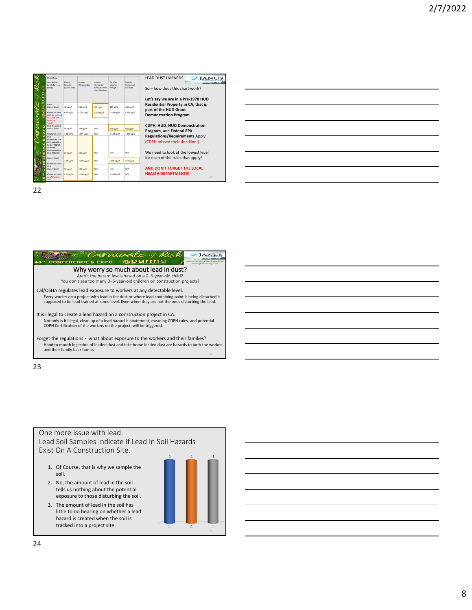| Regulatory<br>Lead in Dust<br>Levels for now<br>(1/21)                                                                                                  | Floors<br><i><u><u>IInterior</u></u></i><br>spaces only) | Interior<br>Window Sills                      | Interior<br>Horizontal<br>Surfaces other<br>than Windows | Exterior<br>Window<br>Trough | Exterior<br>Horizontal<br>Surfaces | <b>LEAD DUST HAZARDS</b><br><b>JANUS</b><br>$So - how does this chart work?$<br>Let's say we are in a Pre-1978 HUD                                 |
|---------------------------------------------------------------------------------------------------------------------------------------------------------|----------------------------------------------------------|-----------------------------------------------|----------------------------------------------------------|------------------------------|------------------------------------|----------------------------------------------------------------------------------------------------------------------------------------------------|
| COPH<br>Hazard Level<br>Clearance Level<br><b>Will be reduced</b><br>to match EPA<br>levels by<br>1/6/221                                               | 40 uz/sf<br>$<$ 40 $\mu$ e/ $\pm$                        | 250 ug/sf<br>$<$ 250 ug/sf                    | 250 ug/sf<br>$<$ 250 $\mu$ z/sf                          | 400 uz/sf<br>$< 400$ ug/sf   | $400 \frac{u}{s}$<br>$<$ 400 ug/sf | Residential Property in CA, that is<br>part of the HUD Grant<br><b>Demonstration Program</b>                                                       |
| <b>HUD (Standard)</b><br>Hazard Level<br>Clearance Level                                                                                                | 40 uz/sf<br>$<$ 40 $\text{u}$ g/sf                       | 250 ug/sf<br>$<$ 250 $\text{u}$ g/sf          | N/A<br>N/A                                               | 400 up/sf<br>$< 400$ ug/sf   | 400 ug/d<br>$< 400$ ug/sf          | CDPH, HUD, HUD Demonstration<br>Program, and Federal EPA                                                                                           |
| <b>HUD</b><br>(Specific to One<br>Demonstration<br><b>Grant Program</b><br>and One<br>Demonstration<br>Loan Program)<br>Hazard Level<br>Clearance Level | 10 ug/sf<br>$< 10 \text{ ug/sf}$                         | $100$ ug/sf<br>$< 100 \text{ ug/sf}$          | N/A<br>N/A                                               | N/A<br>$< 100$ $\omega z/sf$ | N/A<br>$<$ 40 $\mu$ z/sf           | <b>Regulations/Requirements Apply</b><br>(CDPH missed their deadline!)<br>We need to look at the lowest level<br>for each of the rules that apply! |
| Hazard Level<br>Clearance Level<br>As of March 8.                                                                                                       | 10 uz/sf<br>$< 10$ ue/sf                                 | $100 \text{ ug/sf}$<br>$< 100 \text{ u}$ g/sf | $N/\Delta$<br>N/A                                        | $N/\Delta$<br>$<$ 400 ug/sf  | N/A<br>N/A                         | AND DON'T FORGET THE LOCAL<br><b>HEALTH DEPARTMENTS!</b><br>22                                                                                     |



23

## One more issue with lead. Lead Soil Samples Indicate if Lead In Soil Hazards Exist On A Construction Site.

- 1. Of Course, that is why we sample the soil.
- 2. No, the amount of lead in the soil tells us nothing about the potential exposure to those disturbing the soil.
- 3. The amount of lead in the soil has little to no bearing on whether a lead hazard is created when the soil is tracked into a project site.

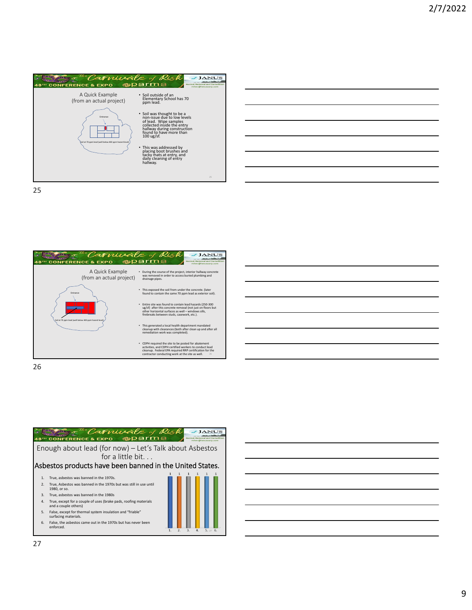





26

|                  | Carnivale of Risk<br><b>CONFERENCE &amp; EXPO</b>                                                                                       |                  |    |              |       |
|------------------|-----------------------------------------------------------------------------------------------------------------------------------------|------------------|----|--------------|-------|
|                  | Enough about lead (for now) - Let's Talk about Asbestos<br>for a little bit<br>Asbestos products have been banned in the United States. |                  |    |              |       |
|                  |                                                                                                                                         |                  |    |              |       |
| 1.               | True, asbestos was banned in the 1970s.                                                                                                 |                  |    |              |       |
| $\mathcal{P}$    | True, Asbestos was banned in the 1970s but was still in use until<br>1980, or so.                                                       |                  |    |              |       |
| 3.               | True, asbestos was banned in the 1980s                                                                                                  |                  |    |              |       |
| $\overline{4}$ . | True, except for a couple of uses (brake pads, roofing materials<br>and a couple others)                                                |                  |    |              |       |
| 5.               | False, except for thermal system insulation and "friable"<br>surfacing materials.                                                       |                  |    |              |       |
| 6.               | False, the asbestos came out in the 1970s but has never been<br>enforced.                                                               | $\overline{2}$ . | 3. | $\mathbf{A}$ | 5.226 |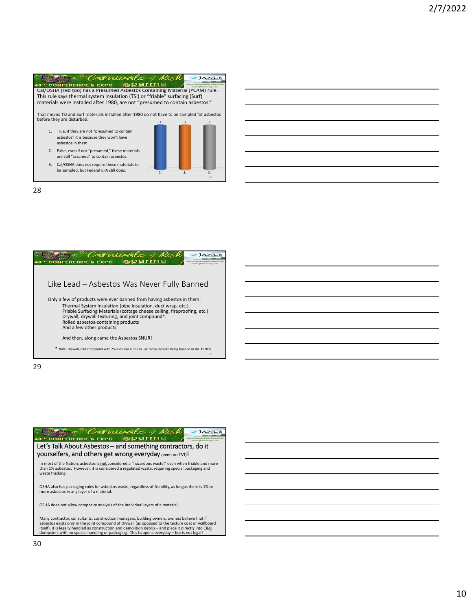|    | amivale y                                                                                                  |  |  |
|----|------------------------------------------------------------------------------------------------------------|--|--|
|    | <b>CONFERENCE &amp; EXPO</b>                                                                               |  |  |
|    | Cal/OSHA (Fed too) has a Presumed Asbestos Containing Material (PCAM) rule.                                |  |  |
|    | This rule says thermal system insulation (TSI) or "friable" surfacing (Surf)                               |  |  |
|    | materials were installed after 1980, are not "presumed to contain asbestos."                               |  |  |
|    | That means TSI and Surf materials installed after 1980 do not have to be sampled for asbestos              |  |  |
|    | before they are disturbed.                                                                                 |  |  |
| 1. | True, if they are not "presumed to contain<br>asbestos" it is because they won't have<br>asbestos in them. |  |  |
| 2. | False, even if not "presumed," these materials<br>are still "assumed" to contain asbestos.                 |  |  |
| 3. | Cal/OSHA does not require these materials to<br>be sampled, but Federal EPA still does.                    |  |  |

 $\overline{2}$ .

 $\overline{\mathbf{3}}$ .

28



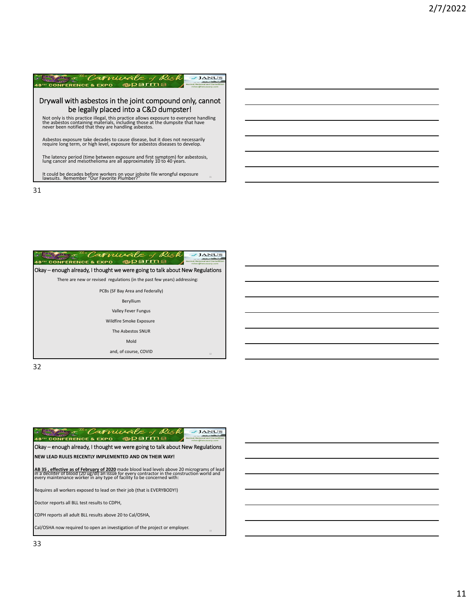



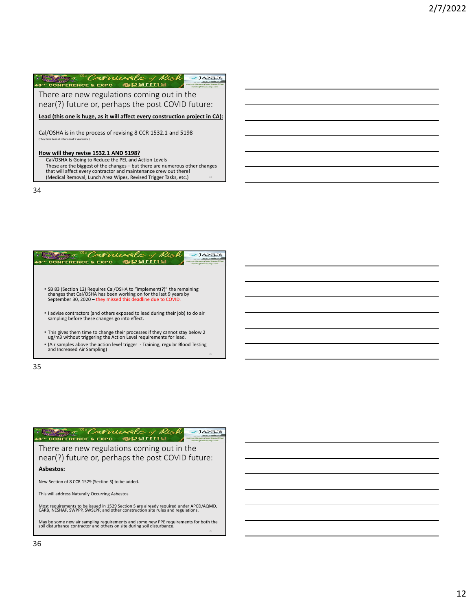| Camurale y<br>Kisk<br><b>CONFERENCE &amp; EXPO</b>                                                                                                                                                                                                 |
|----------------------------------------------------------------------------------------------------------------------------------------------------------------------------------------------------------------------------------------------------|
| There are new regulations coming out in the<br>near(?) future or, perhaps the post COVID future:                                                                                                                                                   |
| Lead (this one is huge, as it will affect every construction project in CA):                                                                                                                                                                       |
| Cal/OSHA is in the process of revising 8 CCR 1532.1 and 5198<br>(They have been at it for about 9 years now!)                                                                                                                                      |
| How will they revise 1532.1 AND 5198?<br>Cal/OSHA Is Going to Reduce the PEL and Action Levels<br>These are the biggest of the changes – but there are numerous other changes<br>that will affect every contractor and maintenance crew out there! |

(Medical Removal, Lunch Area Wipes, Revised Trigger Tasks, etc.) <sup>34</sup>

34



35

| Camuzale .<br><b>CONFERENCE &amp; EXPO</b>                                                                                                                                |
|---------------------------------------------------------------------------------------------------------------------------------------------------------------------------|
| There are new regulations coming out in the<br>near(?) future or, perhaps the post COVID future:                                                                          |
| <b>Asbestos:</b>                                                                                                                                                          |
| New Section of 8 CCR 1529 (Section S) to be added.                                                                                                                        |
| This will address Naturally Occurring Asbestos                                                                                                                            |
| Most requirements to be issued in 1529 Section S are already required under APCD/AQMD,<br>CARB, NESHAP, SWPPP, SWSLPP, and other construction site rules and regulations. |
| May be some new air sampling requirements and some new PPE requirements for both the<br>soil disturbance contractor and others on site during soil disturbance.           |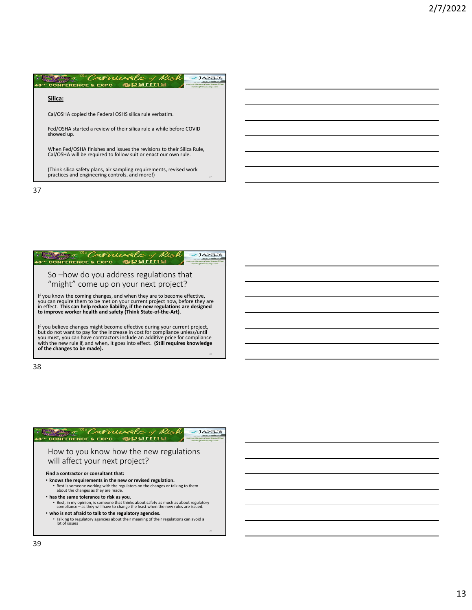

| amivale y<br>FERENCE & EXPO                                                                                                                                                                                                                                                 |
|-----------------------------------------------------------------------------------------------------------------------------------------------------------------------------------------------------------------------------------------------------------------------------|
| So -how do you address regulations that<br>"might" come up on your next project?                                                                                                                                                                                            |
| If you know the coming changes, and when they are to become effective,<br>you can require them to be met on your current project now, before they are<br>in effect. This can help reduce liability, if the new regulations are designed                                     |
| to improve worker health and safety (Think State-of-the-Art).<br>If you believe changes might become effective during your current project,                                                                                                                                 |
| but do not want to pay for the increase in cost for compliance unless/until<br>you must, you can have contractors include an additive price for compliance<br>with the new rule if, and when, it goes into effect. (Still requires knowledge<br>of the changes to be made). |